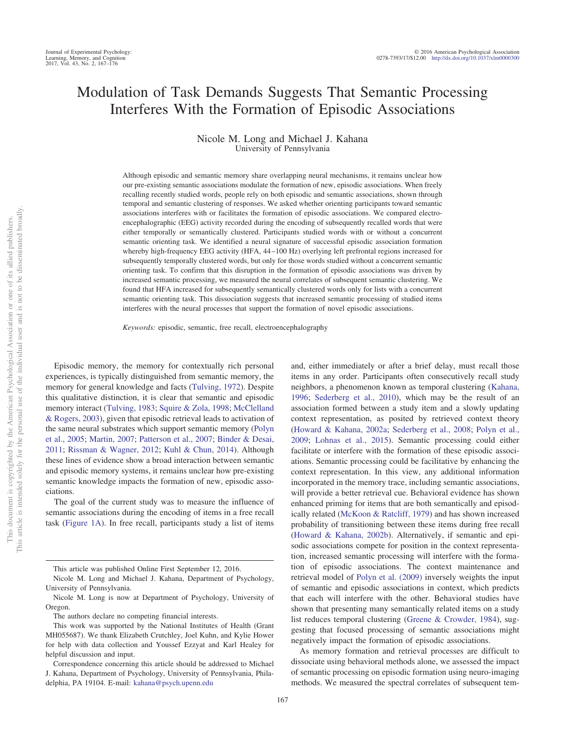# Modulation of Task Demands Suggests That Semantic Processing Interferes With the Formation of Episodic Associations

# Nicole M. Long and Michael J. Kahana University of Pennsylvania

Although episodic and semantic memory share overlapping neural mechanisms, it remains unclear how our pre-existing semantic associations modulate the formation of new, episodic associations. When freely recalling recently studied words, people rely on both episodic and semantic associations, shown through temporal and semantic clustering of responses. We asked whether orienting participants toward semantic associations interferes with or facilitates the formation of episodic associations. We compared electroencephalographic (EEG) activity recorded during the encoding of subsequently recalled words that were either temporally or semantically clustered. Participants studied words with or without a concurrent semantic orienting task. We identified a neural signature of successful episodic association formation whereby high-frequency EEG activity (HFA, 44-100 Hz) overlying left prefrontal regions increased for subsequently temporally clustered words, but only for those words studied without a concurrent semantic orienting task. To confirm that this disruption in the formation of episodic associations was driven by increased semantic processing, we measured the neural correlates of subsequent semantic clustering. We found that HFA increased for subsequently semantically clustered words only for lists with a concurrent semantic orienting task. This dissociation suggests that increased semantic processing of studied items interferes with the neural processes that support the formation of novel episodic associations.

*Keywords:* episodic, semantic, free recall, electroencephalography

Episodic memory, the memory for contextually rich personal experiences, is typically distinguished from semantic memory, the memory for general knowledge and facts [\(Tulving, 1972\)](#page-9-0). Despite this qualitative distinction, it is clear that semantic and episodic memory interact [\(Tulving, 1983;](#page-9-1) [Squire & Zola, 1998;](#page-9-2) [McClelland](#page-9-3) [& Rogers, 2003\)](#page-9-3), given that episodic retrieval leads to activation of the same neural substrates which support semantic memory [\(Polyn](#page-9-4) [et al., 2005;](#page-9-4) [Martin, 2007;](#page-9-5) [Patterson et al., 2007;](#page-9-6) [Binder & Desai,](#page-8-0) [2011;](#page-8-0) [Rissman & Wagner, 2012;](#page-9-7) [Kuhl & Chun, 2014\)](#page-8-1). Although these lines of evidence show a broad interaction between semantic and episodic memory systems, it remains unclear how pre-existing semantic knowledge impacts the formation of new, episodic associations.

The goal of the current study was to measure the influence of semantic associations during the encoding of items in a free recall task [\(Figure 1A\)](#page-1-0). In free recall, participants study a list of items

items in any order. Participants often consecutively recall study neighbors, a phenomenon known as temporal clustering [\(Kahana,](#page-8-2) [1996;](#page-8-2) [Sederberg et al., 2010\)](#page-9-8), which may be the result of an association formed between a study item and a slowly updating context representation, as posited by retrieved context theory [\(Howard & Kahana, 2002a;](#page-8-3) [Sederberg et al., 2008;](#page-9-9) [Polyn et al.,](#page-9-10) [2009;](#page-9-10) [Lohnas et al., 2015\)](#page-8-4). Semantic processing could either facilitate or interfere with the formation of these episodic associations. Semantic processing could be facilitative by enhancing the context representation. In this view, any additional information incorporated in the memory trace, including semantic associations, will provide a better retrieval cue. Behavioral evidence has shown enhanced priming for items that are both semantically and episodically related [\(McKoon & Ratcliff, 1979\)](#page-9-11) and has shown increased probability of transitioning between these items during free recall [\(Howard & Kahana, 2002b\)](#page-8-5). Alternatively, if semantic and episodic associations compete for position in the context representation, increased semantic processing will interfere with the formation of episodic associations. The context maintenance and retrieval model of [Polyn et al. \(2009\)](#page-9-10) inversely weights the input of semantic and episodic associations in context, which predicts that each will interfere with the other. Behavioral studies have shown that presenting many semantically related items on a study list reduces temporal clustering [\(Greene & Crowder, 1984\)](#page-8-6), suggesting that focused processing of semantic associations might negatively impact the formation of episodic associations. As memory formation and retrieval processes are difficult to

and, either immediately or after a brief delay, must recall those

dissociate using behavioral methods alone, we assessed the impact of semantic processing on episodic formation using neuro-imaging methods. We measured the spectral correlates of subsequent tem-

167

This article was published Online First September 12, 2016.

Nicole M. Long and Michael J. Kahana, Department of Psychology, University of Pennsylvania.

Nicole M. Long is now at Department of Psychology, University of Oregon.

The authors declare no competing financial interests.

This work was supported by the National Institutes of Health (Grant MH055687). We thank Elizabeth Crutchley, Joel Kuhn, and Kylie Hower for help with data collection and Youssef Ezzyat and Karl Healey for helpful discussion and input.

Correspondence concerning this article should be addressed to Michael J. Kahana, Department of Psychology, University of Pennsylvania, Philadelphia, PA 19104. E-mail: [kahana@psych.upenn.edu](mailto:kahana@psych.upenn.edu)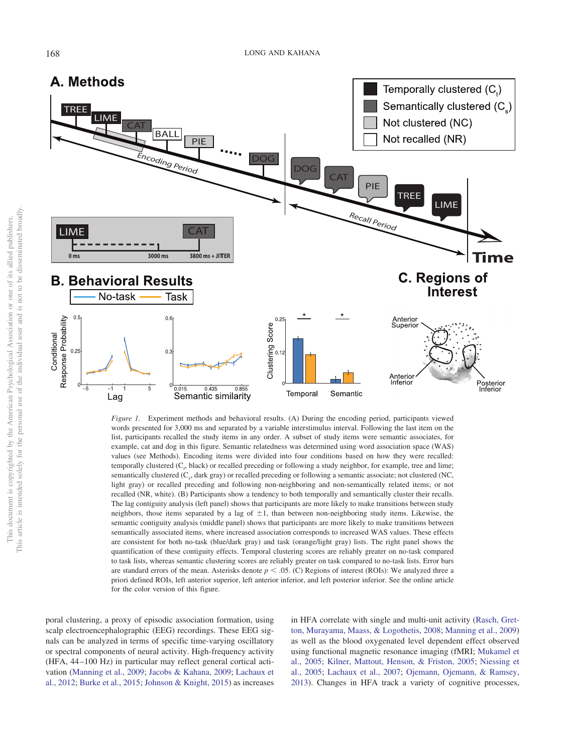

<span id="page-1-0"></span>*Figure 1.* Experiment methods and behavioral results. (A) During the encoding period, participants viewed words presented for 3,000 ms and separated by a variable interstimulus interval. Following the last item on the list, participants recalled the study items in any order. A subset of study items were semantic associates, for example, cat and dog in this figure. Semantic relatedness was determined using word association space (WAS) values (see Methods). Encoding items were divided into four conditions based on how they were recalled: temporally clustered (C*<sup>t</sup>* , black) or recalled preceding or following a study neighbor, for example, tree and lime; semantically clustered (C*s*, dark gray) or recalled preceding or following a semantic associate; not clustered (NC, light gray) or recalled preceding and following non-neighboring and non-semantically related items; or not recalled (NR, white). (B) Participants show a tendency to both temporally and semantically cluster their recalls. The lag contiguity analysis (left panel) shows that participants are more likely to make transitions between study neighbors, those items separated by a lag of  $\pm 1$ , than between non-neighboring study items. Likewise, the semantic contiguity analysis (middle panel) shows that participants are more likely to make transitions between semantically associated items, where increased association corresponds to increased WAS values. These effects are consistent for both no-task (blue/dark gray) and task (orange/light gray) lists. The right panel shows the quantification of these contiguity effects. Temporal clustering scores are reliably greater on no-task compared to task lists, whereas semantic clustering scores are reliably greater on task compared to no-task lists. Error bars are standard errors of the mean. Asterisks denote  $p < .05$ . (C) Regions of interest (ROIs): We analyzed three a priori defined ROIs, left anterior superior, left anterior inferior, and left posterior inferior. See the online article for the color version of this figure.

poral clustering, a proxy of episodic association formation, using scalp electroencephalographic (EEG) recordings. These EEG signals can be analyzed in terms of specific time-varying oscillatory or spectral components of neural activity. High-frequency activity (HFA, 44 –100 Hz) in particular may reflect general cortical activation [\(Manning et al., 2009;](#page-8-7) [Jacobs & Kahana, 2009;](#page-8-8) [Lachaux et](#page-8-9) [al., 2012;](#page-8-9) [Burke et al., 2015;](#page-8-10) [Johnson & Knight, 2015\)](#page-8-11) as increases in HFA correlate with single and multi-unit activity [\(Rasch, Gret](#page-9-12)[ton, Murayama, Maass, & Logothetis, 2008;](#page-9-12) [Manning et al., 2009\)](#page-8-7) as well as the blood oxygenated level dependent effect observed using functional magnetic resonance imaging (fMRI; [Mukamel et](#page-9-13) [al., 2005;](#page-9-13) [Kilner, Mattout, Henson, & Friston, 2005;](#page-8-12) [Niessing et](#page-9-14) [al., 2005;](#page-9-14) [Lachaux et al., 2007;](#page-8-13) [Ojemann, Ojemann, & Ramsey,](#page-9-15) [2013\)](#page-9-15). Changes in HFA track a variety of cognitive processes,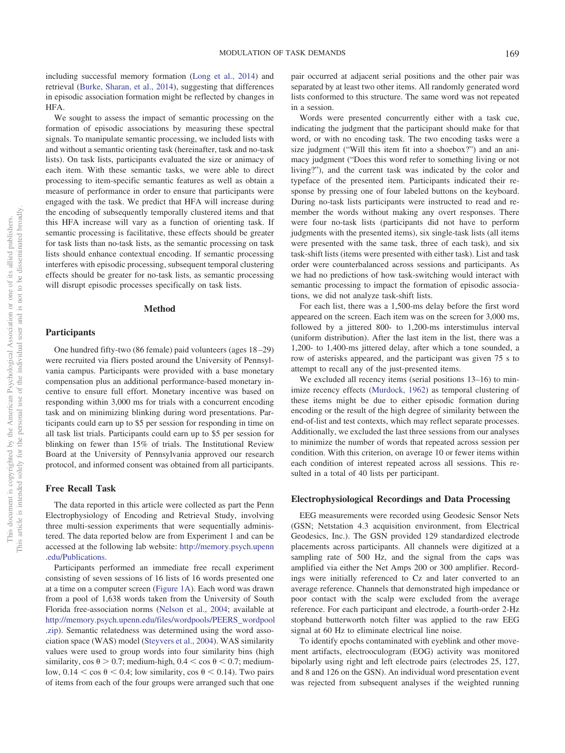including successful memory formation [\(Long et al., 2014\)](#page-8-14) and retrieval [\(Burke, Sharan, et al., 2014\)](#page-8-15), suggesting that differences in episodic association formation might be reflected by changes in HFA.

We sought to assess the impact of semantic processing on the formation of episodic associations by measuring these spectral signals. To manipulate semantic processing, we included lists with and without a semantic orienting task (hereinafter, task and no-task lists). On task lists, participants evaluated the size or animacy of each item. With these semantic tasks, we were able to direct processing to item-specific semantic features as well as obtain a measure of performance in order to ensure that participants were engaged with the task. We predict that HFA will increase during the encoding of subsequently temporally clustered items and that this HFA increase will vary as a function of orienting task. If semantic processing is facilitative, these effects should be greater for task lists than no-task lists, as the semantic processing on task lists should enhance contextual encoding. If semantic processing interferes with episodic processing, subsequent temporal clustering effects should be greater for no-task lists, as semantic processing will disrupt episodic processes specifically on task lists.

#### **Method**

# **Participants**

One hundred fifty-two (86 female) paid volunteers (ages 18 –29) were recruited via fliers posted around the University of Pennsylvania campus. Participants were provided with a base monetary compensation plus an additional performance-based monetary incentive to ensure full effort. Monetary incentive was based on responding within 3,000 ms for trials with a concurrent encoding task and on minimizing blinking during word presentations. Participants could earn up to \$5 per session for responding in time on all task list trials. Participants could earn up to \$5 per session for blinking on fewer than 15% of trials. The Institutional Review Board at the University of Pennsylvania approved our research protocol, and informed consent was obtained from all participants.

# **Free Recall Task**

The data reported in this article were collected as part the Penn Electrophysiology of Encoding and Retrieval Study, involving three multi-session experiments that were sequentially administered. The data reported below are from Experiment 1 and can be accessed at the following lab website: [http://memory.psych.upenn](http://memory.psych.upenn.edu/Publications) [.edu/Publications.](http://memory.psych.upenn.edu/Publications)

Participants performed an immediate free recall experiment consisting of seven sessions of 16 lists of 16 words presented one at a time on a computer screen [\(Figure 1A\)](#page-1-0). Each word was drawn from a pool of 1,638 words taken from the University of South Florida free-association norms [\(Nelson et al., 2004;](#page-9-16) available at [http://memory.psych.upenn.edu/files/wordpools/PEERS\\_wordpool](http://memory.psych.upenn.edu/files/wordpools/PEERS_wordpool.zip) [.zip\)](http://memory.psych.upenn.edu/files/wordpools/PEERS_wordpool.zip). Semantic relatedness was determined using the word association space (WAS) model [\(Steyvers et al., 2004\)](#page-9-17). WAS similarity values were used to group words into four similarity bins (high similarity,  $\cos \theta > 0.7$ ; medium-high,  $0.4 < \cos \theta < 0.7$ ; mediumlow,  $0.14 < \cos \theta < 0.4$ ; low similarity,  $\cos \theta < 0.14$ ). Two pairs of items from each of the four groups were arranged such that one

pair occurred at adjacent serial positions and the other pair was separated by at least two other items. All randomly generated word lists conformed to this structure. The same word was not repeated in a session.

Words were presented concurrently either with a task cue, indicating the judgment that the participant should make for that word, or with no encoding task. The two encoding tasks were a size judgment ("Will this item fit into a shoebox?") and an animacy judgment ("Does this word refer to something living or not living?"), and the current task was indicated by the color and typeface of the presented item. Participants indicated their response by pressing one of four labeled buttons on the keyboard. During no-task lists participants were instructed to read and remember the words without making any overt responses. There were four no-task lists (participants did not have to perform judgments with the presented items), six single-task lists (all items were presented with the same task, three of each task), and six task-shift lists (items were presented with either task). List and task order were counterbalanced across sessions and participants. As we had no predictions of how task-switching would interact with semantic processing to impact the formation of episodic associations, we did not analyze task-shift lists.

For each list, there was a 1,500-ms delay before the first word appeared on the screen. Each item was on the screen for 3,000 ms, followed by a jittered 800- to 1,200-ms interstimulus interval (uniform distribution). After the last item in the list, there was a 1,200- to 1,400-ms jittered delay, after which a tone sounded, a row of asterisks appeared, and the participant was given 75 s to attempt to recall any of the just-presented items.

We excluded all recency items (serial positions 13–16) to minimize recency effects [\(Murdock, 1962\)](#page-9-18) as temporal clustering of these items might be due to either episodic formation during encoding or the result of the high degree of similarity between the end-of-list and test contexts, which may reflect separate processes. Additionally, we excluded the last three sessions from our analyses to minimize the number of words that repeated across session per condition. With this criterion, on average 10 or fewer items within each condition of interest repeated across all sessions. This resulted in a total of 40 lists per participant.

#### **Electrophysiological Recordings and Data Processing**

EEG measurements were recorded using Geodesic Sensor Nets (GSN; Netstation 4.3 acquisition environment, from Electrical Geodesics, Inc.). The GSN provided 129 standardized electrode placements across participants. All channels were digitized at a sampling rate of 500 Hz, and the signal from the caps was amplified via either the Net Amps 200 or 300 amplifier. Recordings were initially referenced to Cz and later converted to an average reference. Channels that demonstrated high impedance or poor contact with the scalp were excluded from the average reference. For each participant and electrode, a fourth-order 2-Hz stopband butterworth notch filter was applied to the raw EEG signal at 60 Hz to eliminate electrical line noise.

To identify epochs contaminated with eyeblink and other movement artifacts, electrooculogram (EOG) activity was monitored bipolarly using right and left electrode pairs (electrodes 25, 127, and 8 and 126 on the GSN). An individual word presentation event was rejected from subsequent analyses if the weighted running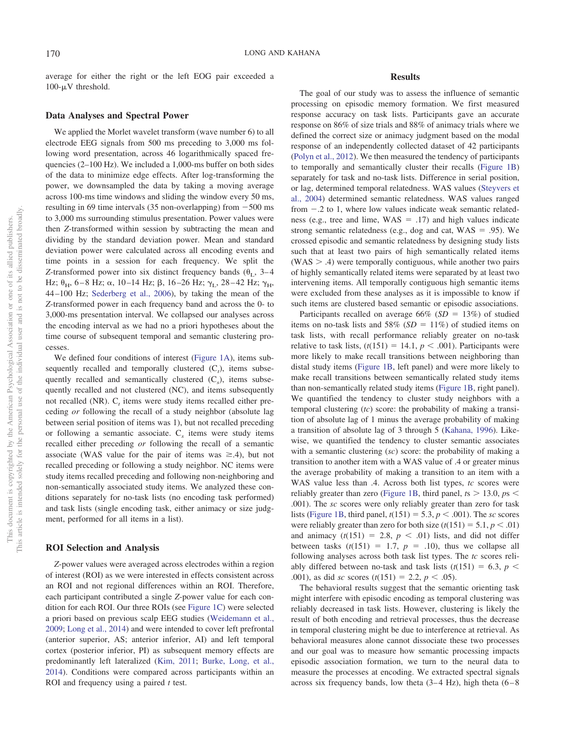average for either the right or the left EOG pair exceeded a  $100$ - $\mu$ V threshold.

### **Data Analyses and Spectral Power**

We applied the Morlet wavelet transform (wave number 6) to all electrode EEG signals from 500 ms preceding to 3,000 ms following word presentation, across 46 logarithmically spaced frequencies (2–100 Hz). We included a 1,000-ms buffer on both sides of the data to minimize edge effects. After log-transforming the power, we downsampled the data by taking a moving average across 100-ms time windows and sliding the window every 50 ms, resulting in 69 time intervals (35 non-overlapping) from  $-500$  ms to 3,000 ms surrounding stimulus presentation. Power values were then *Z*-transformed within session by subtracting the mean and dividing by the standard deviation power. Mean and standard deviation power were calculated across all encoding events and time points in a session for each frequency. We split the Z-transformed power into six distinct frequency bands  $(\theta_L, 3-4)$ Hz; θ<sub>H</sub>, 6-8 Hz; α, 10-14 Hz; β, 16-26 Hz;  $γ<sub>L</sub>$ , 28-42 Hz;  $γ<sub>H</sub>$ , 44 –100 Hz; [Sederberg et al., 2006\)](#page-9-19), by taking the mean of the *Z*-transformed power in each frequency band and across the 0- to 3,000-ms presentation interval. We collapsed our analyses across the encoding interval as we had no a priori hypotheses about the time course of subsequent temporal and semantic clustering processes.

We defined four conditions of interest [\(Figure 1A\)](#page-1-0), items subsequently recalled and temporally clustered  $(C_t)$ , items subsequently recalled and semantically clustered  $(C_s)$ , items subsequently recalled and not clustered (NC), and items subsequently not recalled (NR). C<sub>r</sub> items were study items recalled either preceding *or* following the recall of a study neighbor (absolute lag between serial position of items was 1), but not recalled preceding or following a semantic associate. C*<sup>s</sup>* items were study items recalled either preceding *or* following the recall of a semantic associate (WAS value for the pair of items was  $\geq$ .4), but not recalled preceding or following a study neighbor. NC items were study items recalled preceding and following non-neighboring and non-semantically associated study items. We analyzed these conditions separately for no-task lists (no encoding task performed) and task lists (single encoding task, either animacy or size judgment, performed for all items in a list).

### **ROI Selection and Analysis**

*Z*-power values were averaged across electrodes within a region of interest (ROI) as we were interested in effects consistent across an ROI and not regional differences within an ROI. Therefore, each participant contributed a single *Z*-power value for each condition for each ROI. Our three ROIs (see [Figure 1C\)](#page-1-0) were selected a priori based on previous scalp EEG studies [\(Weidemann et al.,](#page-9-20) [2009;](#page-9-20) [Long et al., 2014\)](#page-8-14) and were intended to cover left prefrontal (anterior superior, AS; anterior inferior, AI) and left temporal cortex (posterior inferior, PI) as subsequent memory effects are predominantly left lateralized [\(Kim, 2011;](#page-8-16) [Burke, Long, et al.,](#page-8-17) [2014\)](#page-8-17). Conditions were compared across participants within an ROI and frequency using a paired *t* test.

## **Results**

The goal of our study was to assess the influence of semantic processing on episodic memory formation. We first measured response accuracy on task lists. Participants gave an accurate response on 86% of size trials and 88% of animacy trials where we defined the correct size or animacy judgment based on the modal response of an independently collected dataset of 42 participants [\(Polyn et al., 2012\)](#page-9-21). We then measured the tendency of participants to temporally and semantically cluster their recalls [\(Figure 1B\)](#page-1-0) separately for task and no-task lists. Difference in serial position, or lag, determined temporal relatedness. WAS values [\(Steyvers et](#page-9-17) [al., 2004\)](#page-9-17) determined semantic relatedness. WAS values ranged from  $-.2$  to 1, where low values indicate weak semantic relatedness (e.g., tree and lime,  $WAS = .17$ ) and high values indicate strong semantic relatedness (e.g., dog and cat,  $WAS = .95$ ). We crossed episodic and semantic relatedness by designing study lists such that at least two pairs of high semantically related items  $(WAS > .4)$  were temporally contiguous, while another two pairs of highly semantically related items were separated by at least two intervening items. All temporally contiguous high semantic items were excluded from these analyses as it is impossible to know if such items are clustered based semantic or episodic associations.

Participants recalled on average  $66\%$  (*SD* = 13%) of studied items on no-task lists and 58% ( $SD = 11\%$ ) of studied items on task lists, with recall performance reliably greater on no-task relative to task lists,  $(t(151) = 14.1, p < .001)$ . Participants were more likely to make recall transitions between neighboring than distal study items [\(Figure 1B,](#page-1-0) left panel) and were more likely to make recall transitions between semantically related study items than non-semantically related study items [\(Figure 1B,](#page-1-0) right panel). We quantified the tendency to cluster study neighbors with a temporal clustering (*tc*) score: the probability of making a transition of absolute lag of 1 minus the average probability of making a transition of absolute lag of 3 through 5 [\(Kahana, 1996\)](#page-8-2). Likewise, we quantified the tendency to cluster semantic associates with a semantic clustering (*sc*) score: the probability of making a transition to another item with a WAS value of .4 or greater minus the average probability of making a transition to an item with a WAS value less than .4. Across both list types, *tc* scores were reliably greater than zero [\(Figure 1B,](#page-1-0) third panel,  $t s > 13.0$ ,  $p s <$ .001). The *sc* scores were only reliably greater than zero for task lists [\(Figure 1B,](#page-1-0) third panel,  $t(151) = 5.3$ ,  $p < .001$ ). The *sc* scores were reliably greater than zero for both size  $(t(151) = 5.1, p < .01)$ and animacy  $(t(151) = 2.8, p < .01)$  lists, and did not differ between tasks  $(t(151) = 1.7, p = .10)$ , thus we collapse all following analyses across both task list types. The *tc* scores reliably differed between no-task and task lists  $(t(151) = 6.3, p <$ .001), as did *sc* scores  $(t(151) = 2.2, p < .05)$ .

The behavioral results suggest that the semantic orienting task might interfere with episodic encoding as temporal clustering was reliably decreased in task lists. However, clustering is likely the result of both encoding and retrieval processes, thus the decrease in temporal clustering might be due to interference at retrieval. As behavioral measures alone cannot dissociate these two processes and our goal was to measure how semantic processing impacts episodic association formation, we turn to the neural data to measure the processes at encoding. We extracted spectral signals across six frequency bands, low theta  $(3-4$  Hz), high theta  $(6-8)$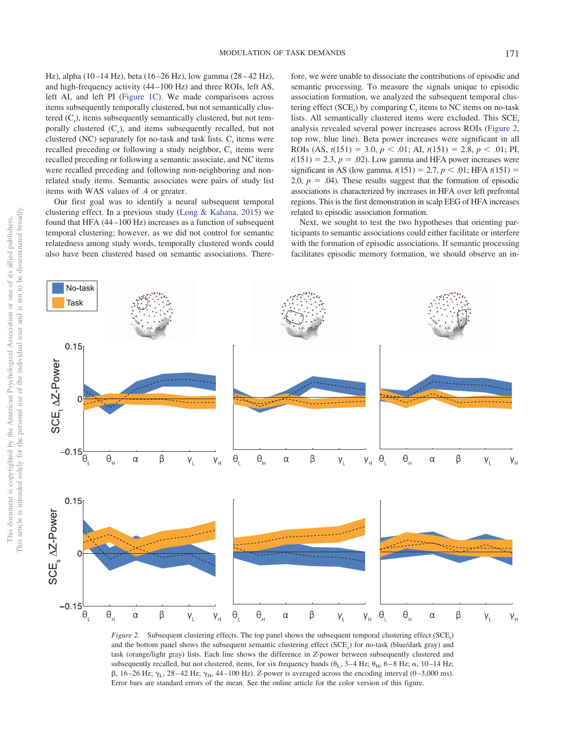Hz), alpha (10 –14 Hz), beta (16 –26 Hz), low gamma (28 – 42 Hz), and high-frequency activity (44 –100 Hz) and three ROIs, left AS, left AI, and left PI [\(Figure 1C\)](#page-1-0). We made comparisons across items subsequently temporally clustered, but not semantically clustered (C*<sup>t</sup>* ), items subsequently semantically clustered, but not temporally clustered (C*s*), and items subsequently recalled, but not clustered (NC) separately for no-task and task lists.  $C<sub>t</sub>$  items were recalled preceding or following a study neighbor, C*<sup>s</sup>* items were recalled preceding or following a semantic associate, and NC items were recalled preceding and following non-neighboring and nonrelated study items. Semantic associates were pairs of study list items with WAS values of .4 or greater.

Our first goal was to identify a neural subsequent temporal clustering effect. In a previous study [\(Long & Kahana, 2015\)](#page-8-18) we found that HFA (44 –100 Hz) increases as a function of subsequent temporal clustering; however, as we did not control for semantic relatedness among study words, temporally clustered words could also have been clustered based on semantic associations. There-

fore, we were unable to dissociate the contributions of episodic and semantic processing. To measure the signals unique to episodic association formation, we analyzed the subsequent temporal clustering effect  $(SCE_t)$  by comparing  $C_t$  items to NC items on no-task lists. All semantically clustered items were excluded. This SCE, analysis revealed several power increases across ROIs [\(Figure 2,](#page-4-0) top row, blue line). Beta power increases were significant in all ROIs (AS,  $t(151) = 3.0, p < .01$ ; AI,  $t(151) = 2.8, p < .01$ ; PI,  $t(151) = 2.3, p = .02$ . Low gamma and HFA power increases were significant in AS (low gamma,  $t(151) = 2.7$ ,  $p < .01$ ; HFA  $t(151) =$ 2.0,  $p = .04$ ). These results suggest that the formation of episodic associations is characterized by increases in HFA over left prefrontal regions. This is the first demonstration in scalp EEG of HFA increases related to episodic association formation.

Next, we sought to test the two hypotheses that orienting participants to semantic associations could either facilitate or interfere with the formation of episodic associations. If semantic processing facilitates episodic memory formation, we should observe an in-

No-task Task  $0.15$ SCE, AZ-Power 0  $-0.15\frac{1}{\theta_{L}}$  $\boldsymbol{\theta}_{\rm H}$  $\Theta_{\rm H}$ β  $\theta_{\text{\tiny L}}$ β  $\theta_{\rm I}$ β  $\alpha$  $V_{L}$  $\mathsf{Y}_\mathsf{H}$  $\alpha$  $Y_L$  $\mathsf{Y}_\mathsf{H}$  $\theta_{\rm H}$  $\alpha$  $\mathsf{Y}_{\mathsf{L}}$  $Y_{\rm H}$  $0.15$ SCE AZ-Power  $-0.15$  $\boldsymbol{\theta}_{\rm H}$  $\theta_{\rm r}$ β  $\Theta_{\shortparallel}$ β β  $\alpha$  $\theta_{\rm H}$  $\theta_{\rm I}$  $\Theta_{\rm H}$  $V_L$  $Y_H$  $\alpha$  $\mathsf{Y}_{\mathsf{L}}$  $Y_{\rm H}$  $\alpha$  $\mathsf{Y}_{\mathsf{L}}$  $\mathsf{Y}_\mathsf{H}$ 

<span id="page-4-0"></span>*Figure 2.* Subsequent clustering effects. The top panel shows the subsequent temporal clustering effect (SCE*<sup>t</sup>* ) and the bottom panel shows the subsequent semantic clustering effect (SCE*s*) for no-task (blue/dark gray) and task (orange/light gray) lists. Each line shows the difference in *Z*-power between subsequently clustered and subsequently recalled, but not clustered, items, for six frequency bands  $(\theta_L, 3-4 \text{ Hz}; \theta_H, 6-8 \text{ Hz}; \alpha, 10-14 \text{ Hz};$  $\beta$ , 16–26 Hz;  $\gamma_L$ , 28–42 Hz;  $\gamma_H$ , 44–100 Hz). Z-power is averaged across the encoding interval (0–3,000 ms). Error bars are standard errors of the mean. See the online article for the color version of this figure.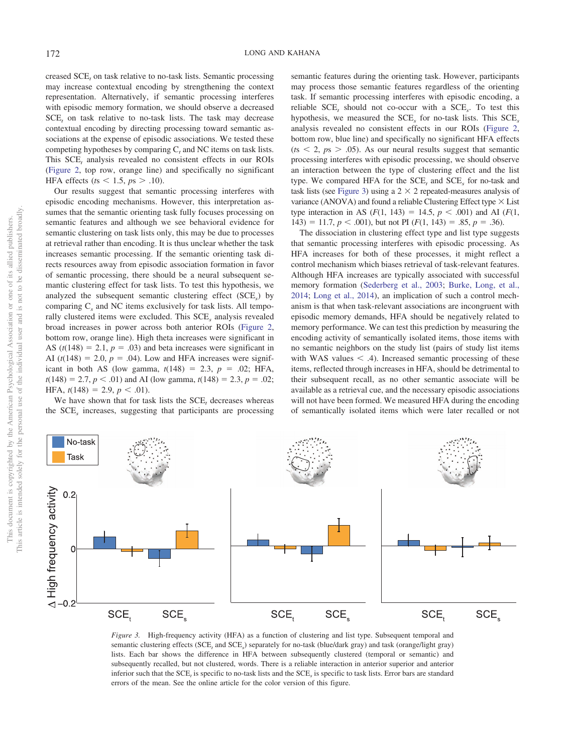creased SCE*<sup>t</sup>* on task relative to no-task lists. Semantic processing may increase contextual encoding by strengthening the context representation. Alternatively, if semantic processing interferes with episodic memory formation, we should observe a decreased SCE, on task relative to no-task lists. The task may decrease contextual encoding by directing processing toward semantic associations at the expense of episodic associations. We tested these competing hypotheses by comparing C<sub>t</sub> and NC items on task lists. This SCE*<sup>t</sup>* analysis revealed no consistent effects in our ROIs [\(Figure 2,](#page-4-0) top row, orange line) and specifically no significant HFA effects ( $ts < 1.5$ ,  $ps > .10$ ).

Our results suggest that semantic processing interferes with episodic encoding mechanisms. However, this interpretation assumes that the semantic orienting task fully focuses processing on semantic features and although we see behavioral evidence for semantic clustering on task lists only, this may be due to processes at retrieval rather than encoding. It is thus unclear whether the task increases semantic processing. If the semantic orienting task directs resources away from episodic association formation in favor of semantic processing, there should be a neural subsequent semantic clustering effect for task lists. To test this hypothesis, we analyzed the subsequent semantic clustering effect (SCE*s*) by comparing C*<sup>s</sup>* and NC items exclusively for task lists. All temporally clustered items were excluded. This SCE*<sup>s</sup>* analysis revealed broad increases in power across both anterior ROIs [\(Figure 2,](#page-4-0) bottom row, orange line). High theta increases were significant in AS  $(t(148) = 2.1, p = .03)$  and beta increases were significant in AI  $(t(148) = 2.0, p = .04)$ . Low and HFA increases were significant in both AS (low gamma,  $t(148) = 2.3$ ,  $p = .02$ ; HFA,  $t(148) = 2.7, p < .01$ ) and AI (low gamma,  $t(148) = 2.3, p = .02;$ HFA,  $t(148) = 2.9, p < .01$ .

We have shown that for task lists the SCE<sub>t</sub> decreases whereas the SCE*<sup>s</sup>* increases, suggesting that participants are processing semantic features during the orienting task. However, participants may process those semantic features regardless of the orienting task. If semantic processing interferes with episodic encoding, a reliable SCE*<sup>t</sup>* should not co-occur with a SCE*s*. To test this hypothesis, we measured the SCE*<sup>s</sup>* for no-task lists. This SCE*<sup>s</sup>* analysis revealed no consistent effects in our ROIs [\(Figure 2,](#page-4-0) bottom row, blue line) and specifically no significant HFA effects  $(ts < 2, ps > .05)$ . As our neural results suggest that semantic processing interferes with episodic processing, we should observe an interaction between the type of clustering effect and the list type. We compared HFA for the SCE<sub>t</sub> and SCE<sub>s</sub> for no-task and task lists (see [Figure 3\)](#page-5-0) using a  $2 \times 2$  repeated-measures analysis of variance (ANOVA) and found a reliable Clustering Effect type  $\times$  List type interaction in AS  $(F(1, 143) = 14.5, p < .001)$  and AI  $(F(1, 143) = 14.5, p < .001)$ 143) = 11.7,  $p < .001$ ), but not PI ( $F(1, 143) = .85$ ,  $p = .36$ ).

The dissociation in clustering effect type and list type suggests that semantic processing interferes with episodic processing. As HFA increases for both of these processes, it might reflect a control mechanism which biases retrieval of task-relevant features. Although HFA increases are typically associated with successful memory formation [\(Sederberg et al., 2003;](#page-9-22) [Burke, Long, et al.,](#page-8-17) [2014;](#page-8-17) [Long et al., 2014\)](#page-8-14), an implication of such a control mechanism is that when task-relevant associations are incongruent with episodic memory demands, HFA should be negatively related to memory performance. We can test this prediction by measuring the encoding activity of semantically isolated items, those items with no semantic neighbors on the study list (pairs of study list items with WAS values  $\lt$  .4). Increased semantic processing of these items, reflected through increases in HFA, should be detrimental to their subsequent recall, as no other semantic associate will be available as a retrieval cue, and the necessary episodic associations will not have been formed. We measured HFA during the encoding of semantically isolated items which were later recalled or not



<span id="page-5-0"></span>*Figure 3.* High-frequency activity (HFA) as a function of clustering and list type. Subsequent temporal and semantic clustering effects (SCE, and SCE<sub>c</sub>) separately for no-task (blue/dark gray) and task (orange/light gray) lists. Each bar shows the difference in HFA between subsequently clustered (temporal or semantic) and subsequently recalled, but not clustered, words. There is a reliable interaction in anterior superior and anterior inferior such that the SCE*<sup>t</sup>* is specific to no-task lists and the SCE*<sup>s</sup>* is specific to task lists. Error bars are standard errors of the mean. See the online article for the color version of this figure.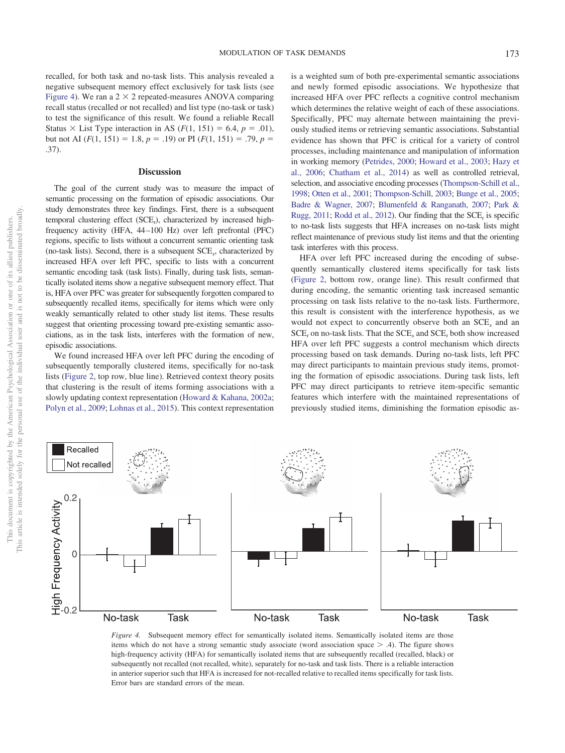recalled, for both task and no-task lists. This analysis revealed a negative subsequent memory effect exclusively for task lists (see [Figure 4\)](#page-6-0). We ran a  $2 \times 2$  repeated-measures ANOVA comparing recall status (recalled or not recalled) and list type (no-task or task) to test the significance of this result. We found a reliable Recall Status  $\times$  List Type interaction in AS ( $F(1, 151) = 6.4$ ,  $p = .01$ ), but not AI  $(F(1, 151) = 1.8, p = .19)$  or PI  $(F(1, 151) = .79, p = .19$ .37).

# **Discussion**

The goal of the current study was to measure the impact of semantic processing on the formation of episodic associations. Our study demonstrates three key findings. First, there is a subsequent temporal clustering effect (SCE*<sup>t</sup>* ), characterized by increased highfrequency activity (HFA, 44 –100 Hz) over left prefrontal (PFC) regions, specific to lists without a concurrent semantic orienting task (no-task lists). Second, there is a subsequent SCE*s*, characterized by increased HFA over left PFC, specific to lists with a concurrent semantic encoding task (task lists). Finally, during task lists, semantically isolated items show a negative subsequent memory effect. That is, HFA over PFC was greater for subsequently forgotten compared to subsequently recalled items, specifically for items which were only weakly semantically related to other study list items. These results suggest that orienting processing toward pre-existing semantic associations, as in the task lists, interferes with the formation of new, episodic associations.

We found increased HFA over left PFC during the encoding of subsequently temporally clustered items, specifically for no-task lists [\(Figure 2,](#page-4-0) top row, blue line). Retrieved context theory posits that clustering is the result of items forming associations with a slowly updating context representation [\(Howard & Kahana, 2002a;](#page-8-3) [Polyn et al., 2009;](#page-9-10) [Lohnas et al., 2015\)](#page-8-4). This context representation is a weighted sum of both pre-experimental semantic associations and newly formed episodic associations. We hypothesize that increased HFA over PFC reflects a cognitive control mechanism which determines the relative weight of each of these associations. Specifically, PFC may alternate between maintaining the previously studied items or retrieving semantic associations. Substantial evidence has shown that PFC is critical for a variety of control processes, including maintenance and manipulation of information in working memory [\(Petrides, 2000;](#page-9-23) [Howard et al., 2003;](#page-8-19) [Hazy et](#page-8-20) [al., 2006;](#page-8-20) [Chatham et al., 2014\)](#page-8-21) as well as controlled retrieval, selection, and associative encoding processes [\(Thompson-Schill et al.,](#page-9-24) [1998;](#page-9-24) [Otten et al., 2001;](#page-9-25) [Thompson-Schill, 2003;](#page-9-26) [Bunge et al., 2005;](#page-8-22) [Badre & Wagner, 2007;](#page-8-23) [Blumenfeld & Ranganath, 2007;](#page-8-24) [Park &](#page-9-27) [Rugg, 2011;](#page-9-27) [Rodd et al., 2012\)](#page-9-28). Our finding that the SCE<sub>t</sub> is specific to no-task lists suggests that HFA increases on no-task lists might reflect maintenance of previous study list items and that the orienting task interferes with this process.

HFA over left PFC increased during the encoding of subsequently semantically clustered items specifically for task lists [\(Figure 2,](#page-4-0) bottom row, orange line). This result confirmed that during encoding, the semantic orienting task increased semantic processing on task lists relative to the no-task lists. Furthermore, this result is consistent with the interference hypothesis, as we would not expect to concurrently observe both an SCE*<sup>s</sup>* and an SCE*<sup>t</sup>* on no-task lists. That the SCE*<sup>s</sup>* and SCE*<sup>t</sup>* both show increased HFA over left PFC suggests a control mechanism which directs processing based on task demands. During no-task lists, left PFC may direct participants to maintain previous study items, promoting the formation of episodic associations. During task lists, left PFC may direct participants to retrieve item-specific semantic features which interfere with the maintained representations of previously studied items, diminishing the formation episodic as-



<span id="page-6-0"></span>*Figure 4.* Subsequent memory effect for semantically isolated items. Semantically isolated items are those items which do not have a strong semantic study associate (word association space  $> .4$ ). The figure shows high-frequency activity (HFA) for semantically isolated items that are subsequently recalled (recalled, black) or subsequently not recalled (not recalled, white), separately for no-task and task lists. There is a reliable interaction in anterior superior such that HFA is increased for not-recalled relative to recalled items specifically for task lists. Error bars are standard errors of the mean.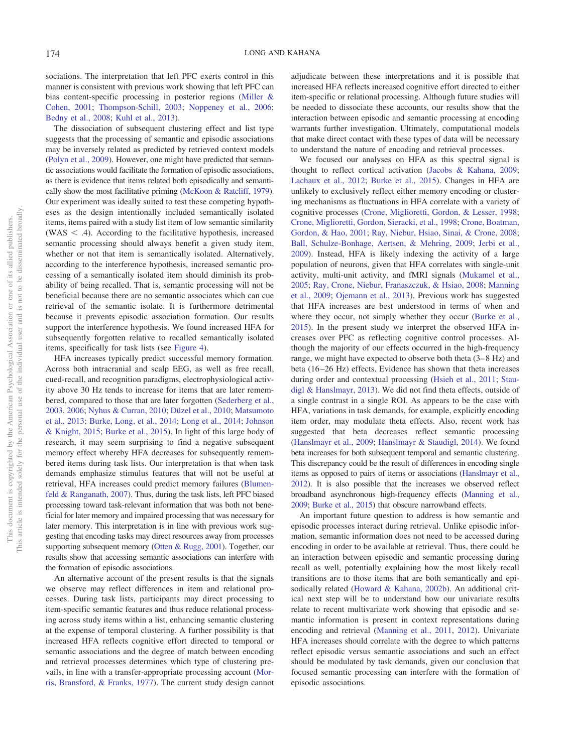sociations. The interpretation that left PFC exerts control in this manner is consistent with previous work showing that left PFC can bias content-specific processing in posterior regions [\(Miller &](#page-9-29) [Cohen, 2001;](#page-9-29) [Thompson-Schill, 2003;](#page-9-26) [Noppeney et al., 2006;](#page-9-30) [Bedny et al., 2008;](#page-8-25) [Kuhl et al., 2013\)](#page-8-26).

The dissociation of subsequent clustering effect and list type suggests that the processing of semantic and episodic associations may be inversely related as predicted by retrieved context models [\(Polyn et al., 2009\)](#page-9-10). However, one might have predicted that semantic associations would facilitate the formation of episodic associations, as there is evidence that items related both episodically and semantically show the most facilitative priming [\(McKoon & Ratcliff, 1979\)](#page-9-11). Our experiment was ideally suited to test these competing hypotheses as the design intentionally included semantically isolated items, items paired with a study list item of low semantic similarity  $(WAS < .4)$ . According to the facilitative hypothesis, increased semantic processing should always benefit a given study item, whether or not that item is semantically isolated. Alternatively, according to the interference hypothesis, increased semantic processing of a semantically isolated item should diminish its probability of being recalled. That is, semantic processing will not be beneficial because there are no semantic associates which can cue retrieval of the semantic isolate. It is furthermore detrimental because it prevents episodic association formation. Our results support the interference hypothesis. We found increased HFA for subsequently forgotten relative to recalled semantically isolated items, specifically for task lists (see [Figure 4\)](#page-6-0).

HFA increases typically predict successful memory formation. Across both intracranial and scalp EEG, as well as free recall, cued-recall, and recognition paradigms, electrophysiological activity above 30 Hz tends to increase for items that are later remembered, compared to those that are later forgotten [\(Sederberg et al.,](#page-9-22) [2003,](#page-9-22) [2006;](#page-9-19) [Nyhus & Curran, 2010;](#page-9-31) [Düzel et al., 2010;](#page-8-27) [Matsumoto](#page-9-32) [et al., 2013;](#page-9-32) [Burke, Long, et al., 2014;](#page-8-17) [Long et al., 2014;](#page-8-14) [Johnson](#page-8-11) [& Knight, 2015;](#page-8-11) [Burke et al., 2015\)](#page-8-10). In light of this large body of research, it may seem surprising to find a negative subsequent memory effect whereby HFA decreases for subsequently remembered items during task lists. Our interpretation is that when task demands emphasize stimulus features that will not be useful at retrieval, HFA increases could predict memory failures [\(Blumen](#page-8-24)[feld & Ranganath, 2007\)](#page-8-24). Thus, during the task lists, left PFC biased processing toward task-relevant information that was both not beneficial for later memory and impaired processing that was necessary for later memory. This interpretation is in line with previous work suggesting that encoding tasks may direct resources away from processes supporting subsequent memory [\(Otten & Rugg, 2001\)](#page-9-33). Together, our results show that accessing semantic associations can interfere with the formation of episodic associations.

An alternative account of the present results is that the signals we observe may reflect differences in item and relational processes. During task lists, participants may direct processing to item-specific semantic features and thus reduce relational processing across study items within a list, enhancing semantic clustering at the expense of temporal clustering. A further possibility is that increased HFA reflects cognitive effort directed to temporal or semantic associations and the degree of match between encoding and retrieval processes determines which type of clustering prevails, in line with a transfer-appropriate processing account [\(Mor](#page-9-34)[ris, Bransford, & Franks, 1977\)](#page-9-34). The current study design cannot

adjudicate between these interpretations and it is possible that increased HFA reflects increased cognitive effort directed to either item-specific or relational processing. Although future studies will be needed to dissociate these accounts, our results show that the interaction between episodic and semantic processing at encoding warrants further investigation. Ultimately, computational models that make direct contact with these types of data will be necessary to understand the nature of encoding and retrieval processes.

We focused our analyses on HFA as this spectral signal is thought to reflect cortical activation [\(Jacobs & Kahana, 2009;](#page-8-8) [Lachaux et al., 2012;](#page-8-9) [Burke et al., 2015\)](#page-8-10). Changes in HFA are unlikely to exclusively reflect either memory encoding or clustering mechanisms as fluctuations in HFA correlate with a variety of cognitive processes [\(Crone, Miglioretti, Gordon, & Lesser, 1998;](#page-8-28) [Crone, Miglioretti, Gordon, Sieracki, et al., 1998;](#page-8-29) [Crone, Boatman,](#page-8-30) [Gordon, & Hao, 2001;](#page-8-30) [Ray, Niebur, Hsiao, Sinai, & Crone, 2008;](#page-9-35) [Ball, Schulze-Bonhage, Aertsen, & Mehring, 2009;](#page-8-31) [Jerbi et al.,](#page-8-32) [2009\)](#page-8-32). Instead, HFA is likely indexing the activity of a large population of neurons, given that HFA correlates with single-unit activity, multi-unit activity, and fMRI signals [\(Mukamel et al.,](#page-9-13) [2005;](#page-9-13) [Ray, Crone, Niebur, Franaszczuk, & Hsiao, 2008;](#page-9-36) [Manning](#page-8-7) [et al., 2009;](#page-8-7) [Ojemann et al., 2013\)](#page-9-15). Previous work has suggested that HFA increases are best understood in terms of when and where they occur, not simply whether they occur [\(Burke et al.,](#page-8-10) [2015\)](#page-8-10). In the present study we interpret the observed HFA increases over PFC as reflecting cognitive control processes. Although the majority of our effects occurred in the high-frequency range, we might have expected to observe both theta  $(3-8 \text{ Hz})$  and beta (16 –26 Hz) effects. Evidence has shown that theta increases during order and contextual processing [\(Hsieh et al., 2011;](#page-8-33) [Stau](#page-9-37)[digl & Hanslmayr, 2013\)](#page-9-37). We did not find theta effects, outside of a single contrast in a single ROI. As appears to be the case with HFA, variations in task demands, for example, explicitly encoding item order, may modulate theta effects. Also, recent work has suggested that beta decreases reflect semantic processing [\(Hanslmayr et al., 2009;](#page-8-34) [Hanslmayr & Staudigl, 2014\)](#page-8-35). We found beta increases for both subsequent temporal and semantic clustering. This discrepancy could be the result of differences in encoding single items as opposed to pairs of items or associations [\(Hanslmayr et al.,](#page-8-36) [2012\)](#page-8-36). It is also possible that the increases we observed reflect broadband asynchronous high-frequency effects [\(Manning et al.,](#page-8-7) [2009;](#page-8-7) [Burke et al., 2015\)](#page-8-10) that obscure narrowband effects.

An important future question to address is how semantic and episodic processes interact during retrieval. Unlike episodic information, semantic information does not need to be accessed during encoding in order to be available at retrieval. Thus, there could be an interaction between episodic and semantic processing during recall as well, potentially explaining how the most likely recall transitions are to those items that are both semantically and episodically related [\(Howard & Kahana, 2002b\)](#page-8-5). An additional critical next step will be to understand how our univariate results relate to recent multivariate work showing that episodic and semantic information is present in context representations during encoding and retrieval [\(Manning et al., 2011,](#page-8-37) [2012\)](#page-8-38). Univariate HFA increases should correlate with the degree to which patterns reflect episodic versus semantic associations and such an effect should be modulated by task demands, given our conclusion that focused semantic processing can interfere with the formation of episodic associations.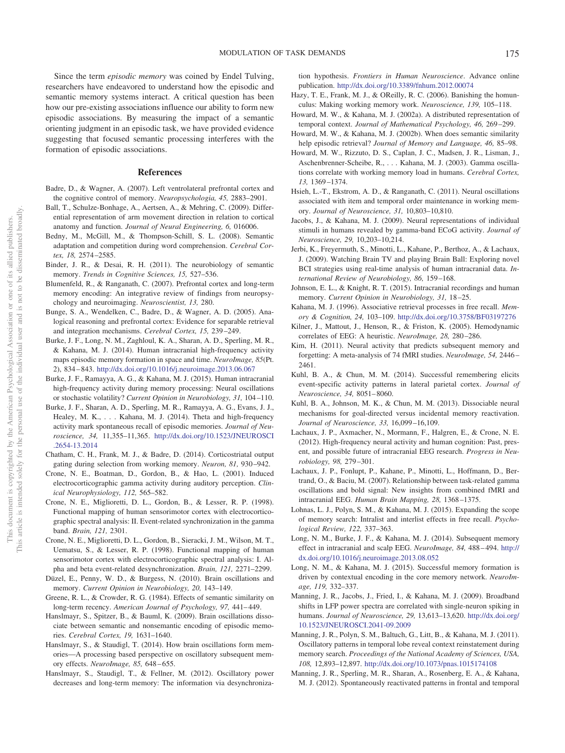Since the term *episodic memory* was coined by Endel Tulving, researchers have endeavored to understand how the episodic and semantic memory systems interact. A critical question has been how our pre-existing associations influence our ability to form new episodic associations. By measuring the impact of a semantic orienting judgment in an episodic task, we have provided evidence suggesting that focused semantic processing interferes with the formation of episodic associations.

#### **References**

- <span id="page-8-23"></span>Badre, D., & Wagner, A. (2007). Left ventrolateral prefrontal cortex and the cognitive control of memory. *Neuropsychologia, 45,* 2883–2901.
- <span id="page-8-31"></span>Ball, T., Schulze-Bonhage, A., Aertsen, A., & Mehring, C. (2009). Differential representation of arm movement direction in relation to cortical anatomy and function. *Journal of Neural Engineering, 6,* 016006.
- <span id="page-8-25"></span>Bedny, M., McGill, M., & Thompson-Schill, S. L. (2008). Semantic adaptation and competition during word comprehension. *Cerebral Cortex, 18,* 2574 –2585.
- <span id="page-8-0"></span>Binder, J. R., & Desai, R. H. (2011). The neurobiology of semantic memory. *Trends in Cognitive Sciences, 15,* 527–536.
- <span id="page-8-24"></span>Blumenfeld, R., & Ranganath, C. (2007). Prefrontal cortex and long-term memory encoding: An integrative review of findings from neuropsychology and neuroimaging. *Neuroscientist, 13,* 280.
- <span id="page-8-22"></span>Bunge, S. A., Wendelken, C., Badre, D., & Wagner, A. D. (2005). Analogical reasoning and prefrontal cortex: Evidence for separable retrieval and integration mechanisms. *Cerebral Cortex, 15,* 239 –249.
- <span id="page-8-17"></span>Burke, J. F., Long, N. M., Zaghloul, K. A., Sharan, A. D., Sperling, M. R., & Kahana, M. J. (2014). Human intracranial high-frequency activity maps episodic memory formation in space and time. *NeuroImage, 85*(Pt. 2), 834 – 843. <http://dx.doi.org/10.1016/j.neuroimage.2013.06.067>
- <span id="page-8-10"></span>Burke, J. F., Ramayya, A. G., & Kahana, M. J. (2015). Human intracranial high-frequency activity during memory processing: Neural oscillations or stochastic volatility? *Current Opinion in Neurobiology, 31,* 104 –110.
- <span id="page-8-15"></span>Burke, J. F., Sharan, A. D., Sperling, M. R., Ramayya, A. G., Evans, J. J., Healey, M. K., . . . Kahana, M. J. (2014). Theta and high-frequency activity mark spontaneous recall of episodic memories. *Journal of Neuroscience, 34,* 11,355–11,365. [http://dx.doi.org/10.1523/JNEUROSCI](http://dx.doi.org/10.1523/JNEUROSCI.2654-13.2014) [.2654-13.2014](http://dx.doi.org/10.1523/JNEUROSCI.2654-13.2014)
- <span id="page-8-21"></span>Chatham, C. H., Frank, M. J., & Badre, D. (2014). Corticostriatal output gating during selection from working memory. *Neuron, 81,* 930 –942.
- <span id="page-8-30"></span>Crone, N. E., Boatman, D., Gordon, B., & Hao, L. (2001). Induced electrocorticographic gamma activity during auditory perception. *Clinical Neurophysiology, 112,* 565–582.
- <span id="page-8-28"></span>Crone, N. E., Miglioretti, D. L., Gordon, B., & Lesser, R. P. (1998). Functional mapping of human sensorimotor cortex with electrocorticographic spectral analysis: II. Event-related synchronization in the gamma band. *Brain, 121,* 2301.
- <span id="page-8-29"></span>Crone, N. E., Miglioretti, D. L., Gordon, B., Sieracki, J. M., Wilson, M. T., Uematsu, S., & Lesser, R. P. (1998). Functional mapping of human sensorimotor cortex with electrocorticographic spectral analysis: I. Alpha and beta event-related desynchronization. *Brain, 121,* 2271–2299.
- <span id="page-8-27"></span>Düzel, E., Penny, W. D., & Burgess, N. (2010). Brain oscillations and memory. *Current Opinion in Neurobiology, 20,* 143–149.
- <span id="page-8-6"></span>Greene, R. L., & Crowder, R. G. (1984). Effects of semantic similarity on long-term recency. *American Journal of Psychology, 97,* 441– 449.
- <span id="page-8-34"></span>Hanslmayr, S., Spitzer, B., & Bauml, K. (2009). Brain oscillations dissociate between semantic and nonsemantic encoding of episodic memories. *Cerebral Cortex, 19,* 1631–1640.
- <span id="page-8-35"></span>Hanslmayr, S., & Staudigl, T. (2014). How brain oscillations form memories—A processing based perspective on oscillatory subsequent memory effects. *NeuroImage, 85,* 648 – 655.
- <span id="page-8-36"></span>Hanslmayr, S., Staudigl, T., & Fellner, M. (2012). Oscillatory power decreases and long-term memory: The information via desynchroniza-

tion hypothesis. *Frontiers in Human Neuroscience*. Advance online publication. <http://dx.doi.org/10.3389/fnhum.2012.00074>

- <span id="page-8-20"></span>Hazy, T. E., Frank, M. J., & OReilly, R. C. (2006). Banishing the homunculus: Making working memory work. *Neuroscience, 139,* 105–118.
- <span id="page-8-3"></span>Howard, M. W., & Kahana, M. J. (2002a). A distributed representation of temporal context. *Journal of Mathematical Psychology, 46,* 269 –299.
- <span id="page-8-5"></span>Howard, M. W., & Kahana, M. J. (2002b). When does semantic similarity help episodic retrieval? *Journal of Memory and Language, 46,* 85–98.
- <span id="page-8-19"></span>Howard, M. W., Rizzuto, D. S., Caplan, J. C., Madsen, J. R., Lisman, J., Aschenbrenner-Scheibe, R.,... Kahana, M. J. (2003). Gamma oscillations correlate with working memory load in humans. *Cerebral Cortex, 13,* 1369 –1374.
- <span id="page-8-33"></span>Hsieh, L.-T., Ekstrom, A. D., & Ranganath, C. (2011). Neural oscillations associated with item and temporal order maintenance in working memory. *Journal of Neuroscience, 31,* 10,803–10,810.
- <span id="page-8-8"></span>Jacobs, J., & Kahana, M. J. (2009). Neural representations of individual stimuli in humans revealed by gamma-band ECoG activity. *Journal of Neuroscience, 29,* 10,203–10,214.
- <span id="page-8-32"></span>Jerbi, K., Freyermuth, S., Minotti, L., Kahane, P., Berthoz, A., & Lachaux, J. (2009). Watching Brain TV and playing Brain Ball: Exploring novel BCI strategies using real-time analysis of human intracranial data. *International Review of Neurobiology, 86,* 159 –168.
- <span id="page-8-11"></span>Johnson, E. L., & Knight, R. T. (2015). Intracranial recordings and human memory. *Current Opinion in Neurobiology, 31,* 18 –25.
- <span id="page-8-2"></span>Kahana, M. J. (1996). Associative retrieval processes in free recall. *Memory & Cognition, 24,* 103–109. <http://dx.doi.org/10.3758/BF03197276>
- <span id="page-8-12"></span>Kilner, J., Mattout, J., Henson, R., & Friston, K. (2005). Hemodynamic correlates of EEG: A heuristic. *NeuroImage, 28,* 280 –286.
- <span id="page-8-16"></span>Kim, H. (2011). Neural activity that predicts subsequent memory and forgetting: A meta-analysis of 74 fMRI studies. *NeuroImage, 54,* 2446 – 2461.
- <span id="page-8-1"></span>Kuhl, B. A., & Chun, M. M. (2014). Successful remembering elicits event-specific activity patterns in lateral parietal cortex. *Journal of Neuroscience, 34,* 8051– 8060.
- <span id="page-8-26"></span>Kuhl, B. A., Johnson, M. K., & Chun, M. M. (2013). Dissociable neural mechanisms for goal-directed versus incidental memory reactivation. *Journal of Neuroscience, 33,* 16,099 –16,109.
- <span id="page-8-9"></span>Lachaux, J. P., Axmacher, N., Mormann, F., Halgren, E., & Crone, N. E. (2012). High-frequency neural activity and human cognition: Past, present, and possible future of intracranial EEG research. *Progress in Neurobiology, 98,* 279 –301.
- <span id="page-8-13"></span>Lachaux, J. P., Fonlupt, P., Kahane, P., Minotti, L., Hoffmann, D., Bertrand, O., & Baciu, M. (2007). Relationship between task-related gamma oscillations and bold signal: New insights from combined fMRI and intracranial EEG. *Human Brain Mapping, 28,* 1368 –1375.
- <span id="page-8-4"></span>Lohnas, L. J., Polyn, S. M., & Kahana, M. J. (2015). Expanding the scope of memory search: Intralist and interlist effects in free recall. *Psychological Review, 122,* 337–363.
- <span id="page-8-14"></span>Long, N. M., Burke, J. F., & Kahana, M. J. (2014). Subsequent memory effect in intracranial and scalp EEG. *NeuroImage, 84,* 488 – 494. [http://](http://dx.doi.org/10.1016/j.neuroimage.2013.08.052) [dx.doi.org/10.1016/j.neuroimage.2013.08.052](http://dx.doi.org/10.1016/j.neuroimage.2013.08.052)
- <span id="page-8-18"></span>Long, N. M., & Kahana, M. J. (2015). Successful memory formation is driven by contextual encoding in the core memory network. *NeuroImage, 119,* 332–337.
- <span id="page-8-7"></span>Manning, J. R., Jacobs, J., Fried, I., & Kahana, M. J. (2009). Broadband shifts in LFP power spectra are correlated with single-neuron spiking in humans. *Journal of Neuroscience, 29,* 13,613–13,620. [http://dx.doi.org/](http://dx.doi.org/10.1523/JNEUROSCI.2041-09.2009) [10.1523/JNEUROSCI.2041-09.2009](http://dx.doi.org/10.1523/JNEUROSCI.2041-09.2009)
- <span id="page-8-37"></span>Manning, J. R., Polyn, S. M., Baltuch, G., Litt, B., & Kahana, M. J. (2011). Oscillatory patterns in temporal lobe reveal context reinstatement during memory search. *Proceedings of the National Academy of Sciences, USA, 108,* 12,893–12,897. <http://dx.doi.org/10.1073/pnas.1015174108>
- <span id="page-8-38"></span>Manning, J. R., Sperling, M. R., Sharan, A., Rosenberg, E. A., & Kahana, M. J. (2012). Spontaneously reactivated patterns in frontal and temporal